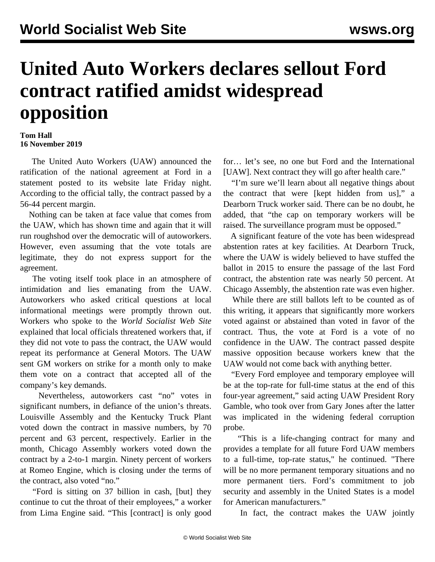## **United Auto Workers declares sellout Ford contract ratified amidst widespread opposition**

## **Tom Hall 16 November 2019**

 The United Auto Workers (UAW) announced the ratification of the national agreement at Ford in a statement posted to its website late Friday night. According to the official tally, the contract passed by a 56-44 percent margin.

 Nothing can be taken at face value that comes from the UAW, which has shown time and again that it will run roughshod over the democratic will of autoworkers. However, even assuming that the vote totals are legitimate, they do not express support for the agreement.

 The voting itself took place in an atmosphere of intimidation and lies emanating from the UAW. Autoworkers who asked critical questions at local informational meetings were [promptly thrown out.](/en/articles/2019/11/08/ford-n08.html) Workers who spoke to the *World Socialist Web Site* explained that local officials [threatened workers](/en/articles/2019/11/14/auto-n14.html) that, if they did not vote to pass the contract, the UAW would repeat its performance at General Motors. The UAW sent GM workers on strike for a month only to make them vote on a contract that accepted all of the company's key demands.

 Nevertheless, autoworkers cast "no" votes in significant numbers, in defiance of the union's threats. Louisville Assembly and the Kentucky Truck Plant [voted down](/en/articles/2019/11/12/ford-n12.html) the contract in massive numbers, by 70 percent and 63 percent, respectively. Earlier in the month, Chicago Assembly workers voted down the contract by a 2-to-1 margin. Ninety percent of workers at Romeo Engine, which is closing under the terms of the contract, also voted "no."

 "Ford is sitting on 37 billion in cash, [but] they continue to cut the throat of their employees," a worker from Lima Engine said. "This [contract] is only good for… let's see, no one but Ford and the International [UAW]. Next contract they will go after health care."

 "I'm sure we'll learn about all negative things about the contract that were [kept hidden from us]," a Dearborn Truck worker said. There can be no doubt, he added, that "the cap on temporary workers will be raised. The [surveillance program](/en/articles/2019/11/09/ford-n09.html) must be opposed."

 A significant feature of the vote has been widespread abstention rates at key facilities. At Dearborn Truck, where the UAW is widely believed to have [stuffed the](/en/articles/2017/05/09/uaw-m09.html) [ballot](/en/articles/2017/05/09/uaw-m09.html) in 2015 to ensure the passage of the last Ford contract, the abstention rate was nearly 50 percent. At Chicago Assembly, the abstention rate was even higher.

 While there are still ballots left to be counted as of this writing, it appears that significantly more workers voted against or abstained than voted in favor of the contract. Thus, the vote at Ford is a vote of no confidence in the UAW. The contract passed despite massive opposition because workers knew that the UAW would not come back with anything better.

 "Every Ford employee and temporary employee will be at the top-rate for full-time status at the end of this four-year agreement," said acting UAW President Rory Gamble, who took over from Gary Jones after the latter was implicated in the widening federal corruption probe.

 "This is a life-changing contract for many and provides a template for all future Ford UAW members to a full-time, top-rate status," he continued. "There will be no more permanent temporary situations and no more permanent tiers. Ford's commitment to job security and assembly in the United States is a model for American manufacturers."

In fact, the contract makes the UAW jointly